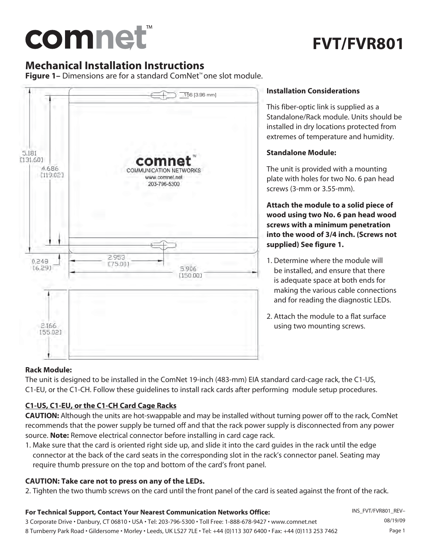# comnet

# **FVT/FVR801**

# **Mechanical Installation Instructions**

**Figure 1–** Dimensions are for a standard ComNet™ one slot module.



# **Installation Considerations**

This fiber-optic link is supplied as a Standalone/Rack module. Units should be installed in dry locations protected from extremes of temperature and humidity.

# **Standalone Module:**

The unit is provided with a mounting plate with holes for two No. 6 pan head screws (3-mm or 3.55-mm).

**Attach the module to a solid piece of wood using two No. 6 pan head wood screws with a minimum penetration into the wood of 3/4 inch. (Screws not supplied) See figure 1.**

- 1. Determine where the module will be installed, and ensure that there is adequate space at both ends for making the various cable connections and for reading the diagnostic LEDs.
- 2. Attach the module to a flat surface using two mounting screws.

# **Rack Module:**

The unit is designed to be installed in the ComNet 19-inch (483-mm) EIA standard card-cage rack, the C1-US, C1-EU, or the C1-CH. Follow these guidelines to install rack cards after performing module setup procedures.

# **C1-US, C1-EU, or the C1-CH Card Cage Racks**

**CAUTION:** Although the units are hot-swappable and may be installed without turning power off to the rack, ComNet recommends that the power supply be turned off and that the rack power supply is disconnected from any power source. **Note:** Remove electrical connector before installing in card cage rack.

1. Make sure that the card is oriented right side up, and slide it into the card guides in the rack until the edge connector at the back of the card seats in the corresponding slot in the rack's connector panel. Seating may require thumb pressure on the top and bottom of the card's front panel.

# **CAUTION: Take care not to press on any of the LEDs.**

2. Tighten the two thumb screws on the card until the front panel of the card is seated against the front of the rack.

# **For Technical Support, Contact Your Nearest Communication Networks Office:**

3 Corporate Drive • Danbury, CT 06810 • USA • Tel: 203-796-5300 • Toll Free: 1-888-678-9427 • www.comnet.net 8 Turnberry Park Road • Gildersome • Morley • Leeds, UK LS27 7LE • Tel: +44 (0)113 307 6400 • Fax: +44 (0)113 253 7462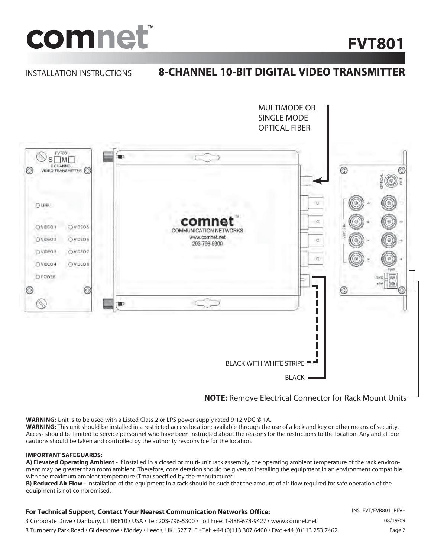

# **FVT801**

#### INSTALLATION INSTRUCTIONS

# **8-CHANNEL 10-BIT DIGITAL VIDEO TRANSMITTER**



# **NOTE:** Remove Electrical Connector for Rack Mount Units

**WARNING:** Unit is to be used with a Listed Class 2 or LPS power supply rated 9-12 VDC @ 1A.

**WARNING:** This unit should be installed in a restricted access location; available through the use of a lock and key or other means of security. Access should be limited to service personnel who have been instructed about the reasons for the restrictions to the location. Any and all precautions should be taken and controlled by the authority responsible for the location.

#### **IMPORTANT SAFEGUARDS:**

**A) Elevated Operating Ambient** - If installed in a closed or multi-unit rack assembly, the operating ambient temperature of the rack environment may be greater than room ambient. Therefore, consideration should be given to installing the equipment in an environment compatible with the maximum ambient temperature (Tma) specified by the manufacturer.

**B) Reduced Air Flow** - Installation of the equipment in a rack should be such that the amount of air flow required for safe operation of the equipment is not compromised.

#### **For Technical Support, Contact Your Nearest Communication Networks Office:**

3 Corporate Drive • Danbury, CT 06810 • USA • Tel: 203-796-5300 • Toll Free: 1-888-678-9427 • www.comnet.net 8 Turnberry Park Road • Gildersome • Morley • Leeds, UK LS27 7LE • Tel: +44 (0)113 307 6400 • Fax: +44 (0)113 253 7462 INS\_FVT/FVR801\_REV– 08/19/09 Page 2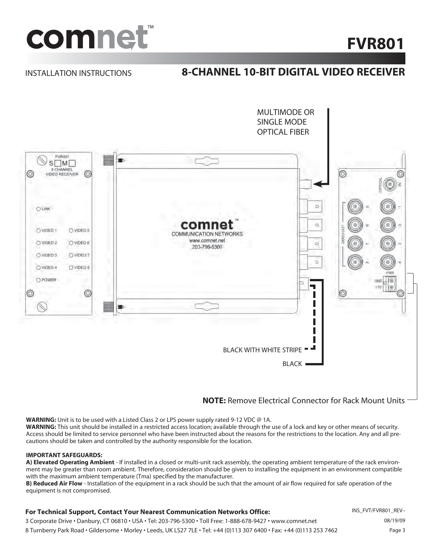

# **FVR801**

### INSTALLATION INSTRUCTIONS

# **8-CHANNEL 10-BIT DIGITAL VIDEO RECEIVER**



# **NOTE:** Remove Electrical Connector for Rack Mount Units

**WARNING:** Unit is to be used with a Listed Class 2 or LPS power supply rated 9-12 VDC @ 1A. **WARNING:** This unit should be installed in a restricted access location; available through the use of a lock and key or other means of security. Access should be limited to service personnel who have been instructed about the reasons for the restrictions to the location. Any and all precautions should be taken and controlled by the authority responsible for the location.

#### **IMPORTANT SAFEGUARDS:**

**A) Elevated Operating Ambient** - If installed in a closed or multi-unit rack assembly, the operating ambient temperature of the rack environment may be greater than room ambient. Therefore, consideration should be given to installing the equipment in an environment compatible with the maximum ambient temperature (Tma) specified by the manufacturer.

**B) Reduced Air Flow** - Installation of the equipment in a rack should be such that the amount of air flow required for safe operation of the equipment is not compromised.

#### **For Technical Support, Contact Your Nearest Communication Networks Office:**

3 Corporate Drive • Danbury, CT 06810 • USA • Tel: 203-796-5300 • Toll Free: 1-888-678-9427 • www.comnet.net 8 Turnberry Park Road • Gildersome • Morley • Leeds, UK LS27 7LE • Tel: +44 (0)113 307 6400 • Fax: +44 (0)113 253 7462

INS\_FVT/FVR801\_REV– 08/19/09 Page 3